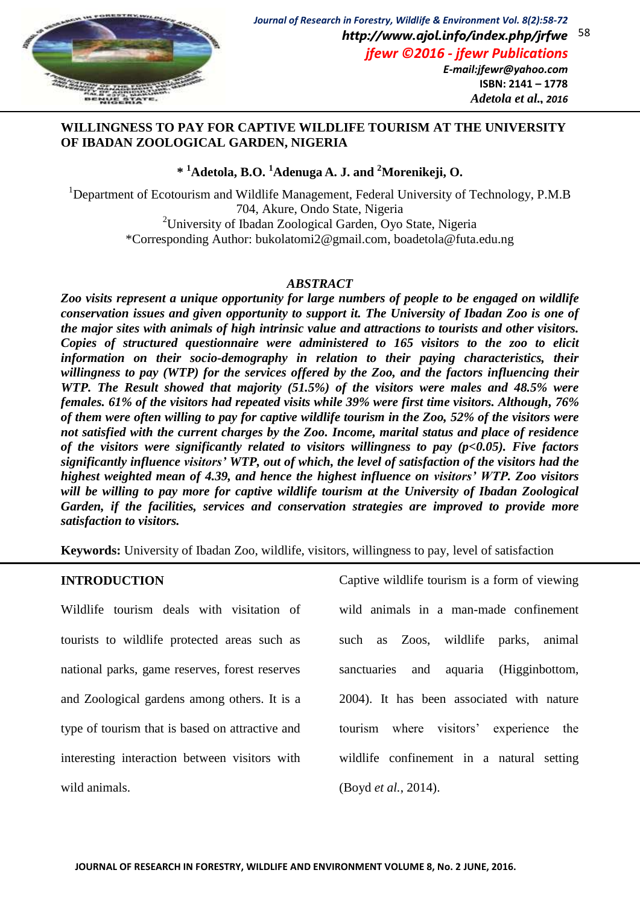

## **WILLINGNESS TO PAY FOR CAPTIVE WILDLIFE TOURISM AT THE UNIVERSITY OF IBADAN ZOOLOGICAL GARDEN, NIGERIA**

## **\* <sup>1</sup>Adetola, B.O. <sup>1</sup>Adenuga A. J. and <sup>2</sup>Morenikeji, O.**

<sup>1</sup>Department of Ecotourism and Wildlife Management, Federal University of Technology, P.M.B 704, Akure, Ondo State, Nigeria <sup>2</sup>University of Ibadan Zoological Garden, Oyo State, Nigeria \*Corresponding Author: bukolatomi2@gmail.com, boadetola@futa.edu.ng

## *ABSTRACT*

*Zoo visits represent a unique opportunity for large numbers of people to be engaged on wildlife conservation issues and given opportunity to support it. The University of Ibadan Zoo is one of the major sites with animals of high intrinsic value and attractions to tourists and other visitors. Copies of structured questionnaire were administered to 165 visitors to the zoo to elicit information on their socio-demography in relation to their paying characteristics, their willingness to pay (WTP) for the services offered by the Zoo, and the factors influencing their WTP. The Result showed that majority (51.5%) of the visitors were males and 48.5% were females. 61% of the visitors had repeated visits while 39% were first time visitors. Although, 76% of them were often willing to pay for captive wildlife tourism in the Zoo, 52% of the visitors were not satisfied with the current charges by the Zoo. Income, marital status and place of residence of the visitors were significantly related to visitors willingness to pay (p<0.05). Five factors significantly influence visitors' WTP, out of which, the level of satisfaction of the visitors had the highest weighted mean of 4.39, and hence the highest influence on visitors' WTP. Zoo visitors will be willing to pay more for captive wildlife tourism at the University of Ibadan Zoological Garden, if the facilities, services and conservation strategies are improved to provide more satisfaction to visitors.*

**Keywords:** University of Ibadan Zoo, wildlife, visitors, willingness to pay, level of satisfaction

## **INTRODUCTION**

Wildlife tourism deals with visitation of tourists to wildlife protected areas such as national parks, game reserves, forest reserves and Zoological gardens among others. It is a type of tourism that is based on attractive and interesting interaction between visitors with wild animals.

Captive wildlife tourism is a form of viewing wild animals in a man-made confinement such as Zoos, wildlife parks, animal sanctuaries and aquaria (Higginbottom, 2004). It has been associated with nature tourism where visitors' experience the wildlife confinement in a natural setting (Boyd *et al.*, 2014).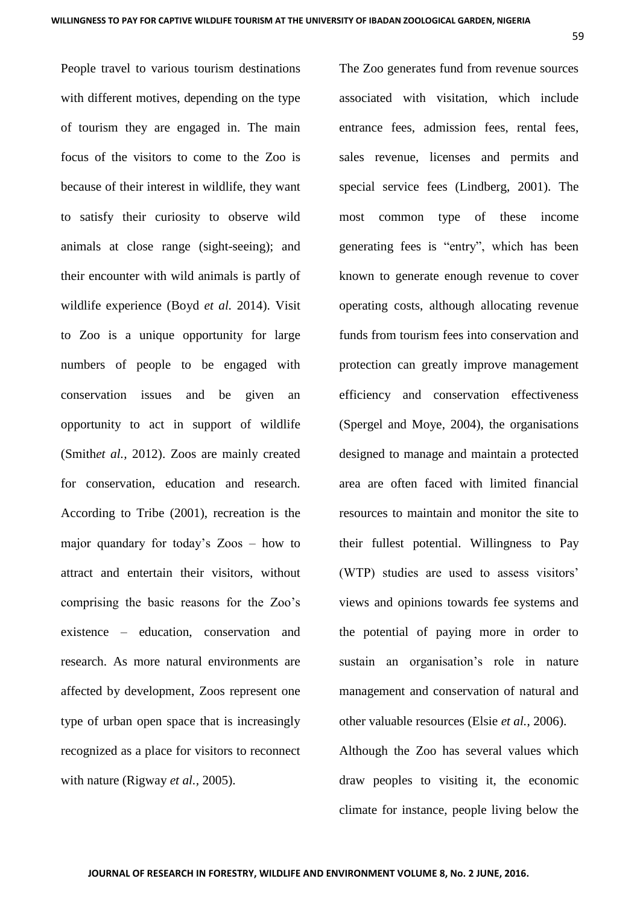People travel to various tourism destinations with different motives, depending on the type of tourism they are engaged in. The main focus of the visitors to come to the Zoo is because of their interest in wildlife, they want to satisfy their curiosity to observe wild animals at close range (sight-seeing); and their encounter with wild animals is partly of wildlife experience (Boyd *et al.* 2014). Visit to Zoo is a unique opportunity for large numbers of people to be engaged with conservation issues and be given an opportunity to act in support of wildlife (Smith*et al.,* 2012). Zoos are mainly created for conservation, education and research. According to Tribe (2001), recreation is the major quandary for today's Zoos – how to attract and entertain their visitors, without comprising the basic reasons for the Zoo's existence – education, conservation and research. As more natural environments are affected by development, Zoos represent one type of urban open space that is increasingly recognized as a place for visitors to reconnect with nature (Rigway *et al.,* 2005).

The Zoo generates fund from revenue sources associated with visitation, which include entrance fees, admission fees, rental fees, sales revenue, licenses and permits and special service fees (Lindberg, 2001). The most common type of these income generating fees is "entry", which has been known to generate enough revenue to cover operating costs, although allocating revenue funds from tourism fees into conservation and protection can greatly improve management efficiency and conservation effectiveness (Spergel and Moye, 2004), the organisations designed to manage and maintain a protected area are often faced with limited financial resources to maintain and monitor the site to their fullest potential. Willingness to Pay (WTP) studies are used to assess visitors' views and opinions towards fee systems and the potential of paying more in order to sustain an organisation's role in nature management and conservation of natural and other valuable resources (Elsie *et al.*, 2006).

Although the Zoo has several values which draw peoples to visiting it, the economic climate for instance, people living below the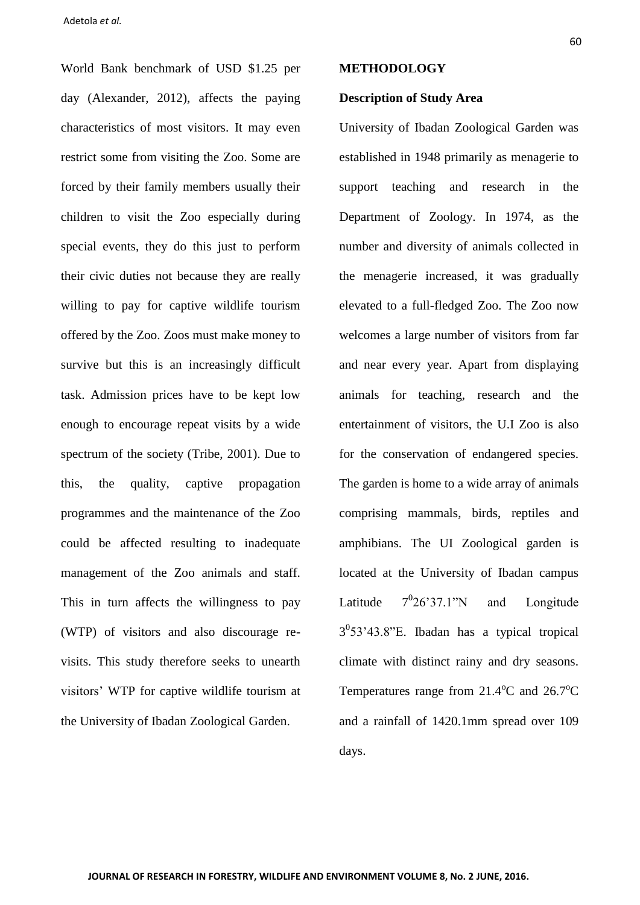World Bank benchmark of USD \$1.25 per day (Alexander, 2012), affects the paying characteristics of most visitors. It may even restrict some from visiting the Zoo. Some are forced by their family members usually their children to visit the Zoo especially during special events, they do this just to perform their civic duties not because they are really willing to pay for captive wildlife tourism offered by the Zoo. Zoos must make money to survive but this is an increasingly difficult task. Admission prices have to be kept low enough to encourage repeat visits by a wide spectrum of the society (Tribe, 2001). Due to this, the quality, captive propagation programmes and the maintenance of the Zoo could be affected resulting to inadequate management of the Zoo animals and staff. This in turn affects the willingness to pay (WTP) of visitors and also discourage revisits. This study therefore seeks to unearth visitors' WTP for captive wildlife tourism at the University of Ibadan Zoological Garden.

#### **METHODOLOGY**

#### **Description of Study Area**

University of Ibadan Zoological Garden was established in 1948 primarily as menagerie to support teaching and research in the Department of Zoology. In 1974, as the number and diversity of animals collected in the menagerie increased, it was gradually elevated to a full-fledged Zoo. The Zoo now welcomes a large number of visitors from far and near every year. Apart from displaying animals for teaching, research and the entertainment of visitors, the U.I Zoo is also for the conservation of endangered species. The garden is home to a wide array of animals comprising mammals, birds, reptiles and amphibians. The UI Zoological garden is located at the University of Ibadan campus Latitude  $7^{0}26'37.1''N$ and Longitude  $3<sup>0</sup>53'43.8"$ E. Ibadan has a typical tropical climate with distinct rainy and dry seasons. Temperatures range from  $21.4^{\circ}$ C and  $26.7^{\circ}$ C and a rainfall of 1420.1mm spread over 109 days.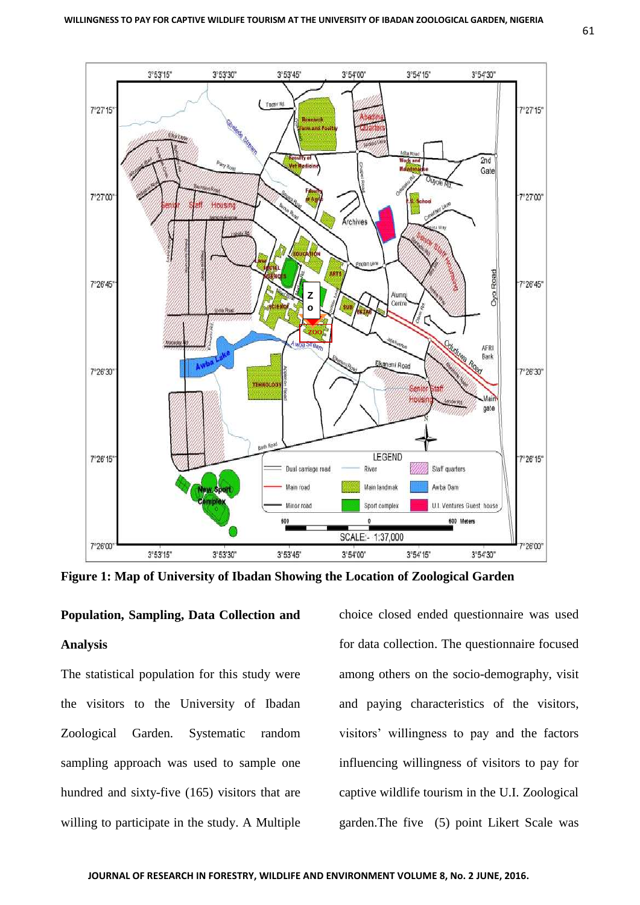

**Figure 1: Map of University of Ibadan Showing the Location of Zoological Garden**

### **Population, Sampling, Data Collection and**

#### **Analysis**

The statistical population for this study were the visitors to the University of Ibadan Zoological Garden. Systematic random sampling approach was used to sample one hundred and sixty-five (165) visitors that are willing to participate in the study. A Multiple choice closed ended questionnaire was used for data collection. The questionnaire focused among others on the socio-demography, visit and paying characteristics of the visitors, visitors' willingness to pay and the factors influencing willingness of visitors to pay for captive wildlife tourism in the U.I. Zoological garden.The five (5) point Likert Scale was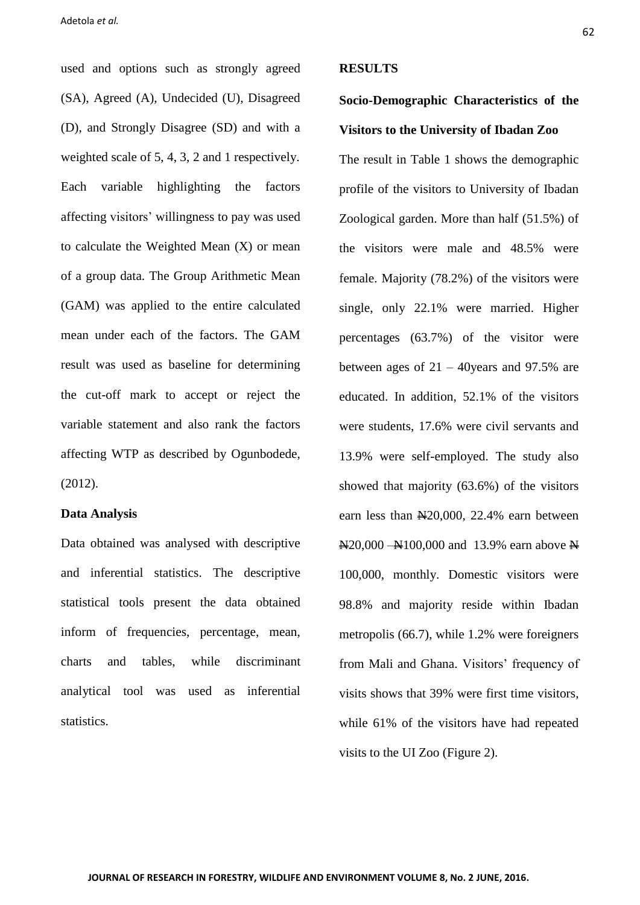used and options such as strongly agreed (SA), Agreed (A), Undecided (U), Disagreed (D), and Strongly Disagree (SD) and with a weighted scale of 5, 4, 3, 2 and 1 respectively. Each variable highlighting the factors affecting visitors' willingness to pay was used to calculate the Weighted Mean (X) or mean of a group data. The Group Arithmetic Mean (GAM) was applied to the entire calculated mean under each of the factors. The GAM result was used as baseline for determining the cut-off mark to accept or reject the variable statement and also rank the factors affecting WTP as described by Ogunbodede, (2012).

## **Data Analysis**

Data obtained was analysed with descriptive and inferential statistics. The descriptive statistical tools present the data obtained inform of frequencies, percentage, mean, charts and tables, while discriminant analytical tool was used as inferential statistics.

#### **RESULTS**

# **Socio-Demographic Characteristics of the Visitors to the University of Ibadan Zoo**

The result in Table 1 shows the demographic profile of the visitors to University of Ibadan Zoological garden. More than half (51.5%) of the visitors were male and 48.5% were female. Majority (78.2%) of the visitors were single, only 22.1% were married. Higher percentages (63.7%) of the visitor were between ages of  $21 - 40$ years and 97.5% are educated. In addition, 52.1% of the visitors were students, 17.6% were civil servants and 13.9% were self-employed. The study also showed that majority (63.6%) of the visitors earn less than  $\mathbb{N}20,000$ , 22.4% earn between  $\text{N20,000 -}$ N $100,000$  and 13.9% earn above N 100,000, monthly. Domestic visitors were 98.8% and majority reside within Ibadan metropolis (66.7), while 1.2% were foreigners from Mali and Ghana. Visitors' frequency of visits shows that 39% were first time visitors, while 61% of the visitors have had repeated visits to the UI Zoo (Figure 2).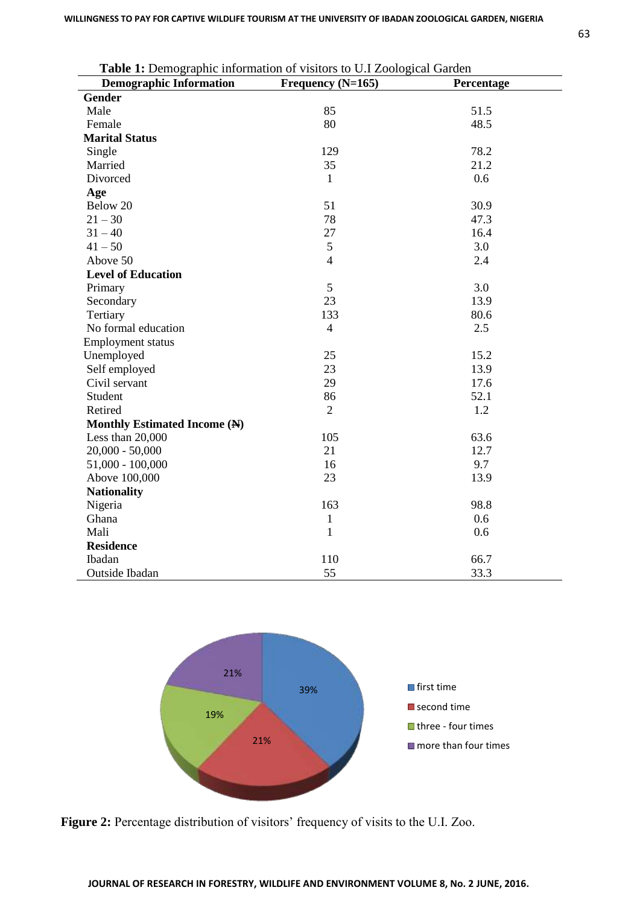| Table 1: Demographic information of visitors to U.I Zoological Garden |                   |            |  |  |  |
|-----------------------------------------------------------------------|-------------------|------------|--|--|--|
| <b>Demographic Information</b>                                        | Frequency (N=165) | Percentage |  |  |  |
| <b>Gender</b>                                                         |                   |            |  |  |  |
| Male                                                                  | 85                | 51.5       |  |  |  |
| Female                                                                | 80                | 48.5       |  |  |  |
| <b>Marital Status</b>                                                 |                   |            |  |  |  |
| Single                                                                | 129               | 78.2       |  |  |  |
| Married                                                               | 35                | 21.2       |  |  |  |
| Divorced                                                              | $\mathbf{1}$      | 0.6        |  |  |  |
| Age                                                                   |                   |            |  |  |  |
| Below 20                                                              | 51                | 30.9       |  |  |  |
| $21 - 30$                                                             | 78                | 47.3       |  |  |  |
| $31 - 40$                                                             | 27                | 16.4       |  |  |  |
| $41 - 50$                                                             | 5                 | 3.0        |  |  |  |
| Above 50                                                              | $\overline{4}$    | 2.4        |  |  |  |
| <b>Level of Education</b>                                             |                   |            |  |  |  |
| Primary                                                               | 5                 | 3.0        |  |  |  |
| Secondary                                                             | 23                | 13.9       |  |  |  |
| Tertiary                                                              | 133               | 80.6       |  |  |  |
| No formal education                                                   | $\overline{4}$    | 2.5        |  |  |  |
| <b>Employment status</b>                                              |                   |            |  |  |  |
| Unemployed                                                            | 25                | 15.2       |  |  |  |
| Self employed                                                         | 23                | 13.9       |  |  |  |
| Civil servant                                                         | 29                | 17.6       |  |  |  |
| Student                                                               | 86                | 52.1       |  |  |  |
| Retired                                                               | $\overline{2}$    | 1.2        |  |  |  |
| Monthly Estimated Income (N)                                          |                   |            |  |  |  |
| Less than 20,000                                                      | 105               | 63.6       |  |  |  |
| $20,000 - 50,000$                                                     | 21                | 12.7       |  |  |  |
| $51,000 - 100,000$                                                    | 16                | 9.7        |  |  |  |
| Above 100,000                                                         | 23                | 13.9       |  |  |  |
| <b>Nationality</b>                                                    |                   |            |  |  |  |
| Nigeria                                                               | 163               | 98.8       |  |  |  |
| Ghana                                                                 | $\mathbf{1}$      | 0.6        |  |  |  |
| Mali                                                                  | $\mathbf{1}$      | 0.6        |  |  |  |
| <b>Residence</b>                                                      |                   |            |  |  |  |
| Ibadan                                                                | 110               | 66.7       |  |  |  |
| Outside Ibadan                                                        | 55                | 33.3       |  |  |  |

39%

■ first time second time

**■** three - four times  $\blacksquare$  more than four times

**Figure 2:** Percentage distribution of visitors' frequency of visits to the U.I. Zoo.

21%

19%

21%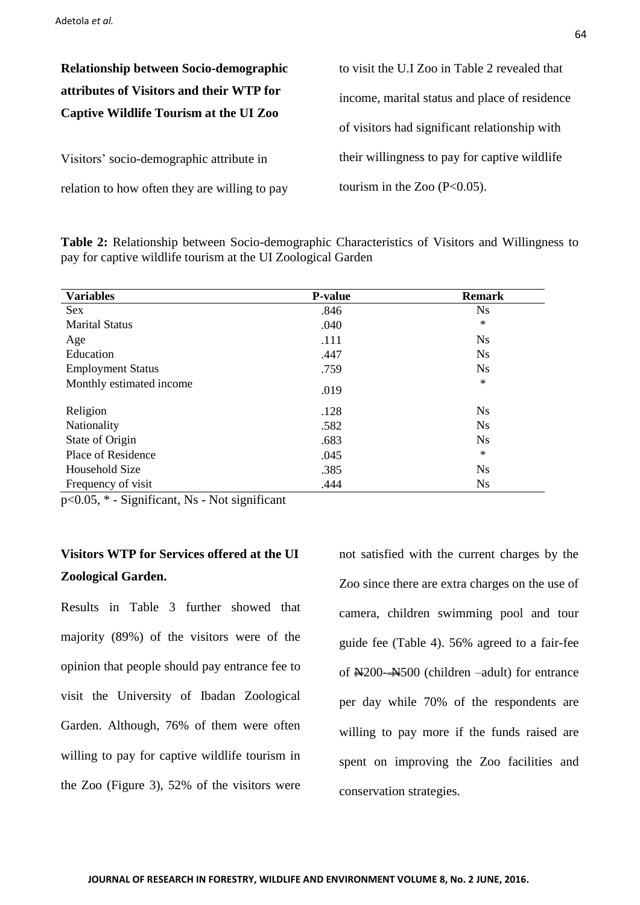**Relationship between Socio-demographic attributes of Visitors and their WTP for Captive Wildlife Tourism at the UI Zoo**

Visitors' socio-demographic attribute in relation to how often they are willing to pay to visit the U.I Zoo in Table 2 revealed that income, marital status and place of residence of visitors had significant relationship with their willingness to pay for captive wildlife tourism in the Zoo  $(P<0.05)$ .

**Table 2:** Relationship between Socio-demographic Characteristics of Visitors and Willingness to pay for captive wildlife tourism at the UI Zoological Garden

| <b>Variables</b>         | <b>P-value</b> | <b>Remark</b> |
|--------------------------|----------------|---------------|
| <b>Sex</b>               | .846           | <b>Ns</b>     |
| <b>Marital Status</b>    | .040           | $\ast$        |
| Age                      | .111           | <b>Ns</b>     |
| Education                | .447           | <b>Ns</b>     |
| <b>Employment Status</b> | .759           | <b>Ns</b>     |
| Monthly estimated income | .019           | $\ast$        |
| Religion                 | .128           | <b>Ns</b>     |
| Nationality              | .582           | <b>Ns</b>     |
| State of Origin          | .683           | <b>Ns</b>     |
| Place of Residence       | .045           | $\ast$        |
| Household Size           | .385           | <b>Ns</b>     |
| Frequency of visit       | .444           | <b>Ns</b>     |

p<0.05, \* - Significant, Ns - Not significant

## **Visitors WTP for Services offered at the UI Zoological Garden.**

Results in Table 3 further showed that majority (89%) of the visitors were of the opinion that people should pay entrance fee to visit the University of Ibadan Zoological Garden. Although, 76% of them were often willing to pay for captive wildlife tourism in the Zoo (Figure 3), 52% of the visitors were not satisfied with the current charges by the Zoo since there are extra charges on the use of camera, children swimming pool and tour guide fee (Table 4). 56% agreed to a fair-fee of  $\frac{N200 - N500}{N}$  (children –adult) for entrance per day while 70% of the respondents are willing to pay more if the funds raised are spent on improving the Zoo facilities and conservation strategies.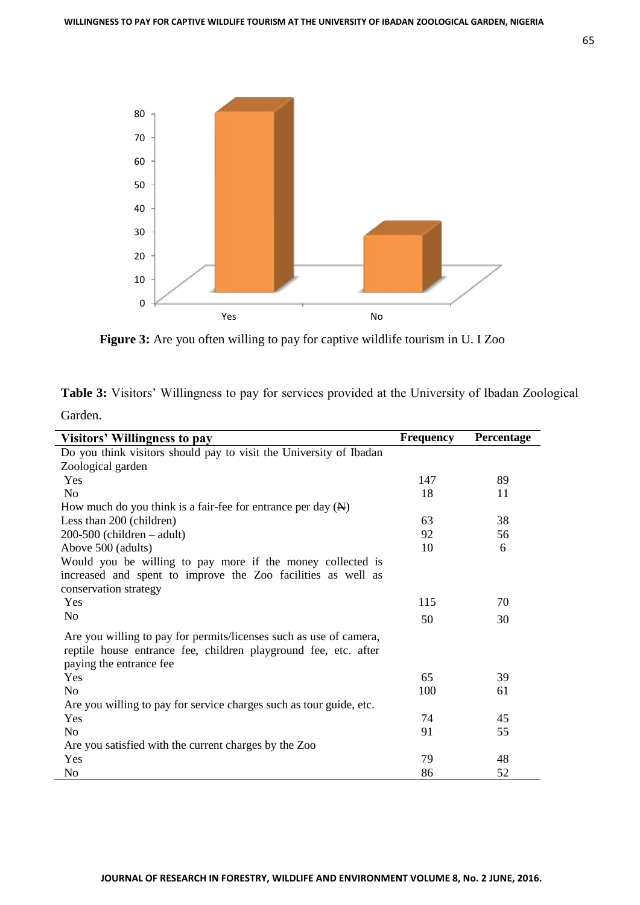

Figure 3: Are you often willing to pay for captive wildlife tourism in U. I Zoo

|         |  | Table 3: Visitors' Willingness to pay for services provided at the University of Ibadan Zoological |
|---------|--|----------------------------------------------------------------------------------------------------|
| Garden. |  |                                                                                                    |

| <b>Visitors' Willingness to pay</b>                                     | <b>Frequency</b> | Percentage |
|-------------------------------------------------------------------------|------------------|------------|
| Do you think visitors should pay to visit the University of Ibadan      |                  |            |
| Zoological garden                                                       |                  |            |
| Yes                                                                     | 147              | 89         |
| N <sub>o</sub>                                                          | 18               | 11         |
| How much do you think is a fair-fee for entrance per day $(\mathbb{H})$ |                  |            |
| Less than 200 (children)                                                | 63               | 38         |
| $200-500$ (children – adult)                                            | 92               | 56         |
| Above 500 (adults)                                                      | 10               | 6          |
| Would you be willing to pay more if the money collected is              |                  |            |
| increased and spent to improve the Zoo facilities as well as            |                  |            |
| conservation strategy                                                   |                  |            |
| Yes                                                                     | 115              | 70         |
| N <sub>0</sub>                                                          | 50               | 30         |
| Are you willing to pay for permits/licenses such as use of camera,      |                  |            |
| reptile house entrance fee, children playground fee, etc. after         |                  |            |
| paying the entrance fee                                                 |                  |            |
| Yes                                                                     | 65               | 39         |
| N <sub>0</sub>                                                          | 100              | 61         |
| Are you willing to pay for service charges such as tour guide, etc.     |                  |            |
| Yes                                                                     | 74               | 45         |
| N <sub>0</sub>                                                          | 91               | 55         |
| Are you satisfied with the current charges by the Zoo                   |                  |            |
| Yes                                                                     | 79               | 48         |
| No                                                                      | 86               | 52         |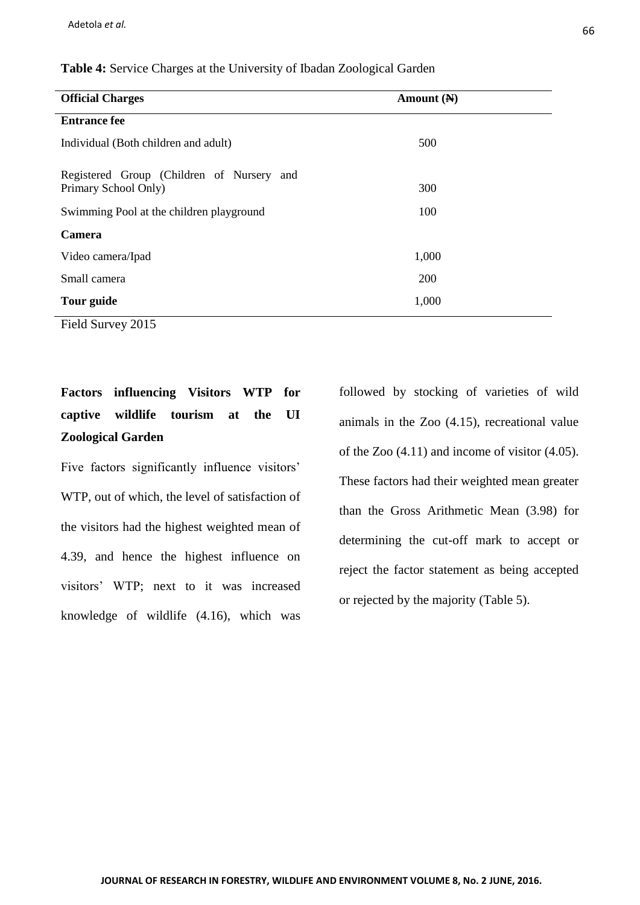| <b>Official Charges</b>                                           | Amount $(N)$ |  |  |  |
|-------------------------------------------------------------------|--------------|--|--|--|
| <b>Entrance fee</b>                                               |              |  |  |  |
| Individual (Both children and adult)                              | 500          |  |  |  |
| Registered Group (Children of Nursery and<br>Primary School Only) | 300          |  |  |  |
| Swimming Pool at the children playground                          | 100          |  |  |  |
| <b>Camera</b>                                                     |              |  |  |  |
| Video camera/Ipad                                                 | 1,000        |  |  |  |
| Small camera                                                      | 200          |  |  |  |
| Tour guide                                                        | 1,000        |  |  |  |
| Field Survey 2015                                                 |              |  |  |  |

## **Table 4:** Service Charges at the University of Ibadan Zoological Garden

**Factors influencing Visitors WTP for captive wildlife tourism at the UI Zoological Garden**

Five factors significantly influence visitors' WTP, out of which, the level of satisfaction of the visitors had the highest weighted mean of 4.39, and hence the highest influence on visitors' WTP; next to it was increased knowledge of wildlife (4.16), which was followed by stocking of varieties of wild animals in the Zoo (4.15), recreational value of the Zoo (4.11) and income of visitor (4.05). These factors had their weighted mean greater than the Gross Arithmetic Mean (3.98) for determining the cut-off mark to accept or reject the factor statement as being accepted or rejected by the majority (Table 5).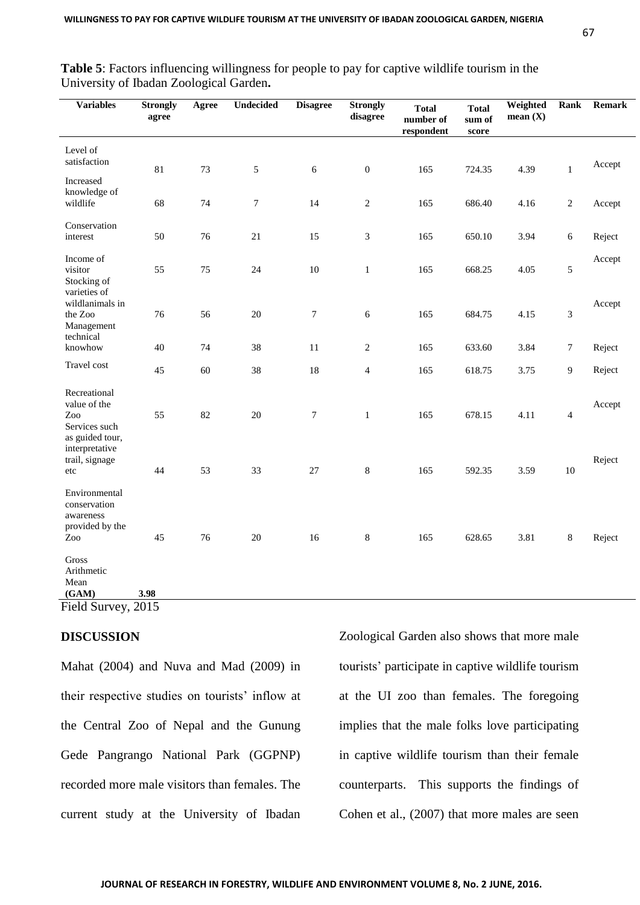| v<br>. .<br>I<br>×<br>×<br>۰, |  |
|-------------------------------|--|
|                               |  |

| <b>Variables</b>                                                        | <b>Strongly</b><br>agree | Agree | Undecided        | <b>Disagree</b>  | <b>Strongly</b><br>disagree | <b>Total</b><br>number of<br>respondent | <b>Total</b><br>sum of<br>score | Weighted<br>mean $(X)$ | Rank           | <b>Remark</b> |
|-------------------------------------------------------------------------|--------------------------|-------|------------------|------------------|-----------------------------|-----------------------------------------|---------------------------------|------------------------|----------------|---------------|
| Level of<br>satisfaction                                                | 81                       | 73    | $\sqrt{5}$       | 6                | $\boldsymbol{0}$            | 165                                     | 724.35                          | 4.39                   | $\mathbf{1}$   | Accept        |
| Increased<br>knowledge of<br>wildlife                                   | 68                       | 74    | $\boldsymbol{7}$ | 14               | $\mathbf{2}$                | 165                                     | 686.40                          | 4.16                   | $\overline{c}$ | Accept        |
| Conservation<br>interest                                                | 50                       | 76    | 21               | 15               | 3                           | 165                                     | 650.10                          | 3.94                   | 6              | Reject        |
| Income of<br>visitor<br>Stocking of                                     | 55                       | 75    | 24               | 10               | $\mathbf{1}$                | 165                                     | 668.25                          | 4.05                   | 5              | Accept        |
| varieties of<br>wildlanimals in<br>the Zoo<br>Management                | 76                       | 56    | 20               | $\boldsymbol{7}$ | 6                           | 165                                     | 684.75                          | 4.15                   | 3              | Accept        |
| technical<br>knowhow                                                    | 40                       | 74    | 38               | 11               | 2                           | 165                                     | 633.60                          | 3.84                   | $\tau$         | Reject        |
| Travel cost                                                             | 45                       | 60    | 38               | 18               | $\overline{4}$              | 165                                     | 618.75                          | 3.75                   | 9              | Reject        |
| Recreational<br>value of the<br>Zoo<br>Services such<br>as guided tour, | 55                       | 82    | 20               | $\tau$           | $\mathbf{1}$                | 165                                     | 678.15                          | 4.11                   | $\overline{4}$ | Accept        |
| interpretative<br>trail, signage<br>etc                                 | 44                       | 53    | 33               | 27               | 8                           | 165                                     | 592.35                          | 3.59                   | $10\,$         | Reject        |
| Environmental<br>conservation<br>awareness<br>provided by the<br>Zoo    | 45                       | 76    | 20               | 16               | $\,8\,$                     | 165                                     | 628.65                          | 3.81                   | 8              | Reject        |
| <b>Gross</b><br>Arithmetic<br>Mean<br>(GAM)<br>Field Survey, 2015       | 3.98                     |       |                  |                  |                             |                                         |                                 |                        |                |               |

**Table 5**: Factors influencing willingness for people to pay for captive wildlife tourism in the University of Ibadan Zoological Garden**.**

### **DISCUSSION**

Mahat (2004) and Nuva and Mad (2009) in their respective studies on tourists' inflow at the Central Zoo of Nepal and the Gunung Gede Pangrango National Park (GGPNP) recorded more male visitors than females. The current study at the University of Ibadan Zoological Garden also shows that more male tourists' participate in captive wildlife tourism at the UI zoo than females. The foregoing implies that the male folks love participating in captive wildlife tourism than their female counterparts. This supports the findings of Cohen et al., (2007) that more males are seen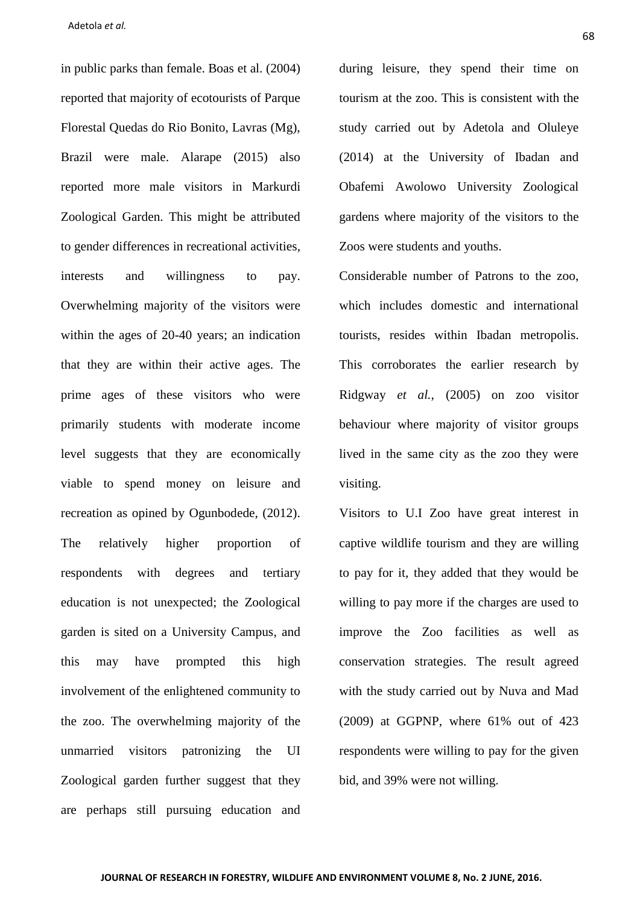in public parks than female. Boas et al. (2004) reported that majority of ecotourists of Parque Florestal Quedas do Rio Bonito, Lavras (Mg), Brazil were male. Alarape (2015) also reported more male visitors in Markurdi Zoological Garden. This might be attributed to gender differences in recreational activities, interests and willingness to pay. Overwhelming majority of the visitors were within the ages of 20-40 years; an indication that they are within their active ages. The prime ages of these visitors who were primarily students with moderate income level suggests that they are economically viable to spend money on leisure and recreation as opined by Ogunbodede, (2012). The relatively higher proportion of respondents with degrees and tertiary education is not unexpected; the Zoological garden is sited on a University Campus, and this may have prompted this high involvement of the enlightened community to the zoo. The overwhelming majority of the unmarried visitors patronizing the UI Zoological garden further suggest that they are perhaps still pursuing education and

during leisure, they spend their time on tourism at the zoo. This is consistent with the study carried out by Adetola and Oluleye (2014) at the University of Ibadan and Obafemi Awolowo University Zoological gardens where majority of the visitors to the Zoos were students and youths.

Considerable number of Patrons to the zoo, which includes domestic and international tourists, resides within Ibadan metropolis. This corroborates the earlier research by Ridgway *et al.*, (2005) on zoo visitor behaviour where majority of visitor groups lived in the same city as the zoo they were visiting.

Visitors to U.I Zoo have great interest in captive wildlife tourism and they are willing to pay for it, they added that they would be willing to pay more if the charges are used to improve the Zoo facilities as well as conservation strategies. The result agreed with the study carried out by Nuva and Mad (2009) at GGPNP, where 61% out of 423 respondents were willing to pay for the given bid, and 39% were not willing.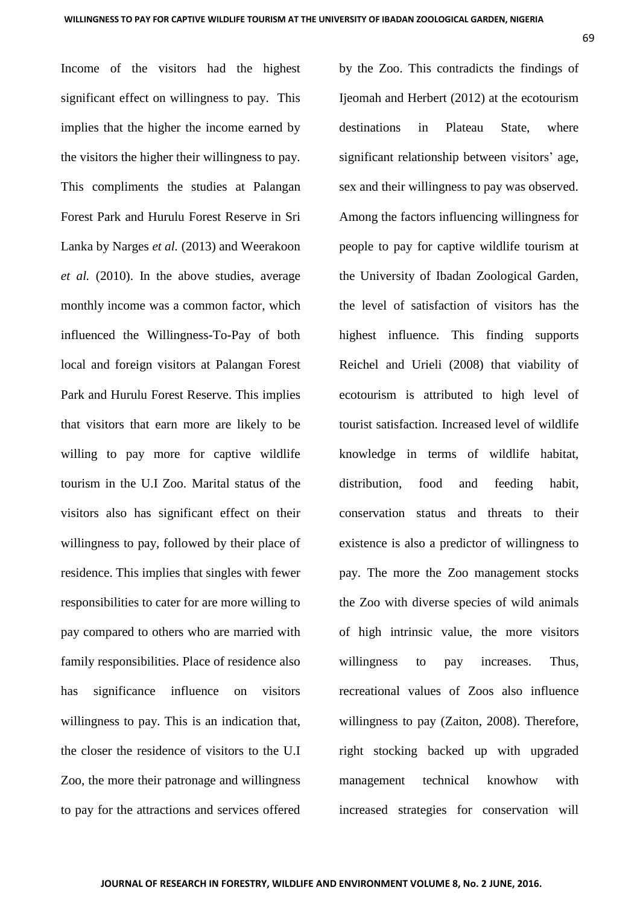Income of the visitors had the highest significant effect on willingness to pay. This implies that the higher the income earned by the visitors the higher their willingness to pay. This compliments the studies at Palangan Forest Park and Hurulu Forest Reserve in Sri Lanka by Narges *et al.* (2013) and Weerakoon *et al.* (2010). In the above studies, average monthly income was a common factor, which influenced the Willingness-To-Pay of both local and foreign visitors at Palangan Forest Park and Hurulu Forest Reserve. This implies that visitors that earn more are likely to be willing to pay more for captive wildlife tourism in the U.I Zoo. Marital status of the visitors also has significant effect on their willingness to pay, followed by their place of residence. This implies that singles with fewer responsibilities to cater for are more willing to pay compared to others who are married with family responsibilities. Place of residence also has significance influence on visitors willingness to pay. This is an indication that, the closer the residence of visitors to the U.I Zoo, the more their patronage and willingness to pay for the attractions and services offered

by the Zoo. This contradicts the findings of Ijeomah and Herbert (2012) at the ecotourism destinations in Plateau State, where significant relationship between visitors' age, sex and their willingness to pay was observed. Among the factors influencing willingness for people to pay for captive wildlife tourism at the University of Ibadan Zoological Garden, the level of satisfaction of visitors has the highest influence. This finding supports Reichel and Urieli (2008) that viability of ecotourism is attributed to high level of tourist satisfaction. Increased level of wildlife knowledge in terms of wildlife habitat, distribution, food and feeding habit, conservation status and threats to their existence is also a predictor of willingness to pay. The more the Zoo management stocks the Zoo with diverse species of wild animals of high intrinsic value, the more visitors willingness to pay increases. Thus, recreational values of Zoos also influence willingness to pay (Zaiton, 2008). Therefore, right stocking backed up with upgraded management technical knowhow with increased strategies for conservation will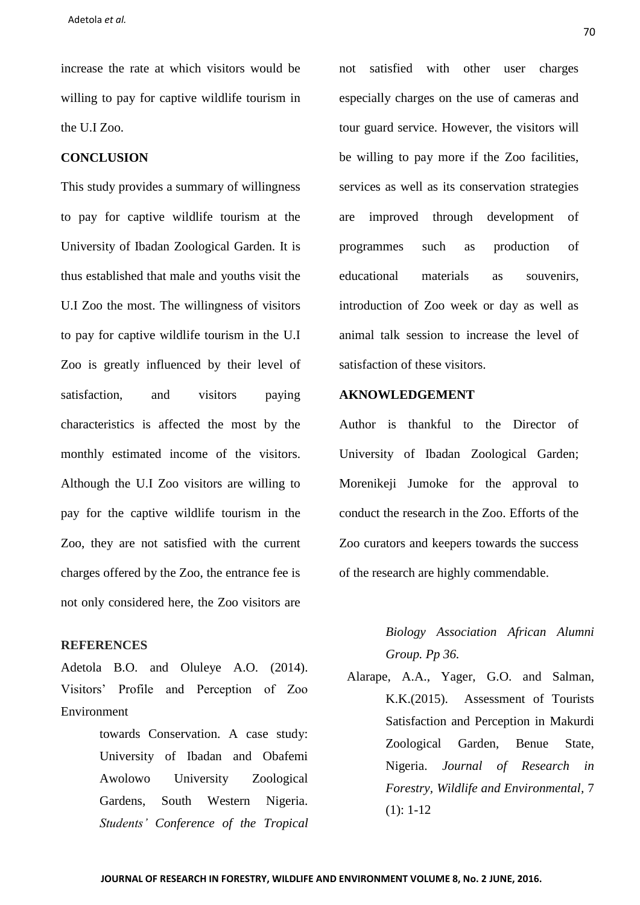increase the rate at which visitors would be willing to pay for captive wildlife tourism in the U.I Zoo.

#### **CONCLUSION**

This study provides a summary of willingness to pay for captive wildlife tourism at the University of Ibadan Zoological Garden. It is thus established that male and youths visit the U.I Zoo the most. The willingness of visitors to pay for captive wildlife tourism in the U.I Zoo is greatly influenced by their level of satisfaction, and visitors paying characteristics is affected the most by the monthly estimated income of the visitors. Although the U.I Zoo visitors are willing to pay for the captive wildlife tourism in the Zoo, they are not satisfied with the current charges offered by the Zoo, the entrance fee is not only considered here, the Zoo visitors are

#### **REFERENCES**

Adetola B.O. and Oluleye A.O. (2014). Visitors' Profile and Perception of Zoo Environment

> towards Conservation. A case study: University of Ibadan and Obafemi Awolowo University Zoological Gardens, South Western Nigeria. *Students' Conference of the Tropical*

not satisfied with other user charges especially charges on the use of cameras and tour guard service. However, the visitors will be willing to pay more if the Zoo facilities, services as well as its conservation strategies are improved through development of programmes such as production of educational materials as souvenirs, introduction of Zoo week or day as well as animal talk session to increase the level of satisfaction of these visitors.

## **AKNOWLEDGEMENT**

Author is thankful to the Director of University of Ibadan Zoological Garden; Morenikeji Jumoke for the approval to conduct the research in the Zoo. Efforts of the Zoo curators and keepers towards the success of the research are highly commendable.

## *Biology Association African Alumni Group. Pp 36.*

Alarape, A.A., Yager, G.O. and Salman, K.K.(2015). Assessment of Tourists Satisfaction and Perception in Makurdi Zoological Garden, Benue State, Nigeria. *Journal of Research in Forestry, Wildlife and Environmental,* 7  $(1): 1-12$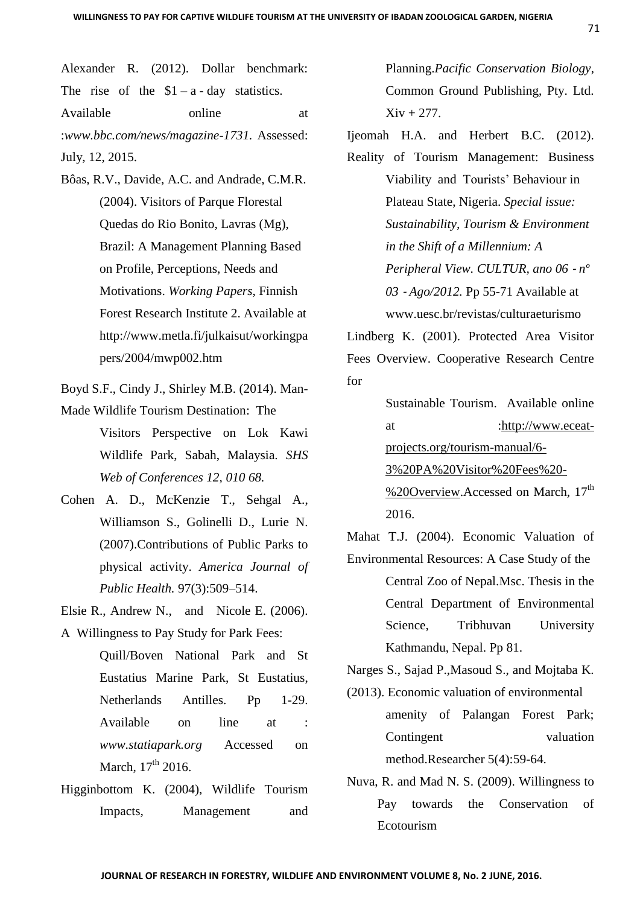Alexander R. (2012). Dollar benchmark: The rise of the  $$1 - a - day$  statistics. Available online at :*[www.bbc.com/news/magazine-1731.](http://www.bbc.com/news/magazine-1731.)* Assessed: July, 12, 2015.

- Bôas, R.V., Davide, A.C. and Andrade, C.M.R. (2004). Visitors of Parque Florestal Quedas do Rio Bonito, Lavras (Mg), Brazil: A Management Planning Based on Profile, Perceptions, Needs and Motivations. *Working Papers*, Finnish Forest Research Institute 2. Available at http://www.metla.fi/julkaisut/workingpa pers/2004/mwp002.htm
- Boyd S.F., Cindy J., Shirley M.B. (2014). Man-Made Wildlife Tourism Destination: The

Visitors Perspective on Lok Kawi Wildlife Park, Sabah, Malaysia. *SHS Web of Conferences 12, 010 68.*

- Cohen A. D., McKenzie T., Sehgal A., Williamson S., Golinelli D., Lurie N. (2007).Contributions of Public Parks to physical activity. *America Journal of Public Health.* 97(3):509–514.
- Elsie R., Andrew N., and Nicole E. (2006). A Willingness to Pay Study for Park Fees:
	- Quill/Boven National Park and St Eustatius Marine Park, St Eustatius, Netherlands Antilles. Pp 1-29. Available on line at : *[www.statiapark.org](http://www.statiapark.org/)* Accessed on March,  $17^{th}$  2016.
- Higginbottom K. (2004), Wildlife Tourism Impacts, Management and

Planning.*Pacific Conservation Biology*, Common Ground Publishing, Pty. Ltd.  $Xiv + 277$ .

Ijeomah H.A. and Herbert B.C. (2012).

Reality of Tourism Management: Business Viability and Tourists' Behaviour in Plateau State, Nigeria. *Special issue: Sustainability, Tourism & Environment in the Shift of a Millennium: A Peripheral View. CULTUR, ano 06* ‐ *nº 03* ‐ *Ago/2012.* Pp 55-71 Available at www.uesc.br/revistas/culturaeturismo

Lindberg K. (2001). Protected Area Visitor Fees Overview. Cooperative Research Centre for

> Sustainable Tourism. Available online at [:http://www.eceat](http://www.eceat-projects.org/tourism-manual/6-3%20PA%20Visitor%20Fees%20-%20Overview)[projects.org/tourism-manual/6-](http://www.eceat-projects.org/tourism-manual/6-3%20PA%20Visitor%20Fees%20-%20Overview) [3%20PA%20Visitor%20Fees%20-](http://www.eceat-projects.org/tourism-manual/6-3%20PA%20Visitor%20Fees%20-%20Overview)

[%20Overview.](http://www.eceat-projects.org/tourism-manual/6-3%20PA%20Visitor%20Fees%20-%20Overview)Accessed on March, 17<sup>th</sup> 2016.

Mahat T.J. (2004). Economic Valuation of

Environmental Resources: A Case Study of the Central Zoo of Nepal.Msc. Thesis in the Central Department of Environmental Science, Tribhuvan University Kathmandu, Nepal. Pp 81.

Narges S., Sajad P.,Masoud S., and Mojtaba K.

- (2013). Economic valuation of environmental amenity of Palangan Forest Park; Contingent valuation method.Researcher 5(4):59-64.
- Nuva, R. and Mad N. S. (2009). Willingness to Pay towards the Conservation of Ecotourism